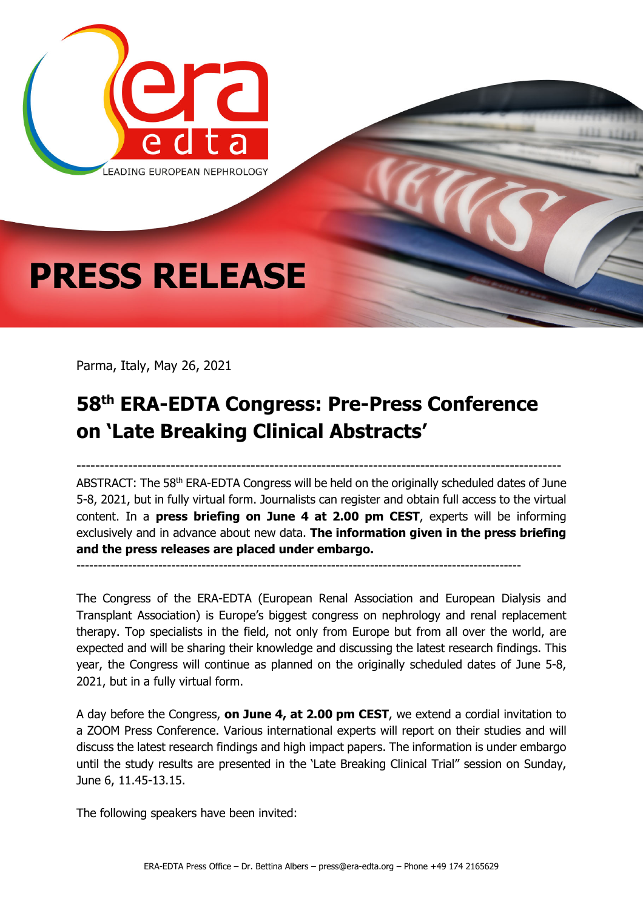

Parma, Italy, May 26, 2021

## **58th ERA-EDTA Congress: Pre-Press Conference on 'Late Breaking Clinical Abstracts'**

------------------------------------------------------------------------------------------------------- ABSTRACT: The 58<sup>th</sup> ERA-EDTA Congress will be held on the originally scheduled dates of June 5-8, 2021, but in fully virtual form. Journalists can register and obtain full access to the virtual content. In a **press briefing on June 4 at 2.00 pm CEST**, experts will be informing exclusively and in advance about new data. **The information given in the press briefing and the press releases are placed under embargo.**

-------------------------------------------------------------------------------------------------------

The Congress of the ERA-EDTA (European Renal Association and European Dialysis and Transplant Association) is Europe's biggest congress on nephrology and renal replacement therapy. Top specialists in the field, not only from Europe but from all over the world, are expected and will be sharing their knowledge and discussing the latest research findings. This year, the Congress will continue as planned on the originally scheduled dates of June 5-8, 2021, but in a fully virtual form.

A day before the Congress, **on June 4, at 2.00 pm CEST**, we extend a cordial invitation to a ZOOM Press Conference. Various international experts will report on their studies and will discuss the latest research findings and high impact papers. The information is under embargo until the study results are presented in the 'Late Breaking Clinical Trial" session on Sunday, June 6, 11.45-13.15.

The following speakers have been invited: